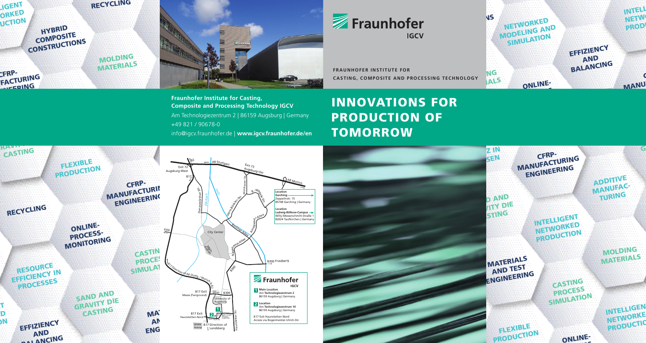



**CASTING, COMPOSITE AND PROCESSING TECHNOLOGY FRAUNHOFER INSTITUTE FOR** 



# INNOVATIONS FOR PRODUCTION OF **TOMORROW**



PROZESS-

<u>।</u><br>ବ

 $\overline{\mathbf{C}}$ 

**ENGINEERING**